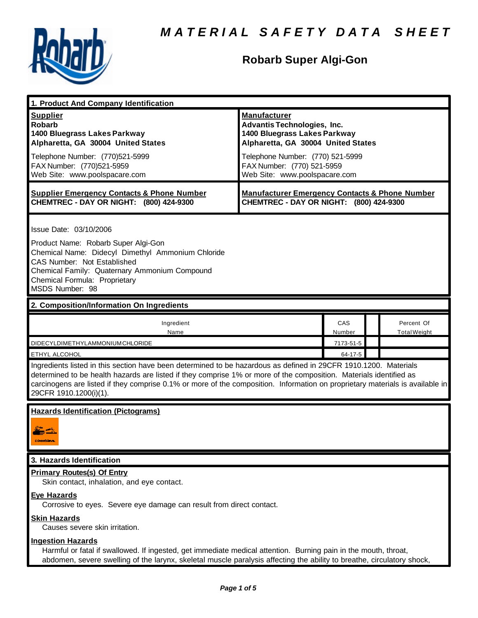

## **Robarb Super Algi-Gon**

| 1. Product And Company Identification                                                                                                                                                                                                                                                                                                                                                             |                                                                                                                                                                                                                                    |               |  |                                   |  |
|---------------------------------------------------------------------------------------------------------------------------------------------------------------------------------------------------------------------------------------------------------------------------------------------------------------------------------------------------------------------------------------------------|------------------------------------------------------------------------------------------------------------------------------------------------------------------------------------------------------------------------------------|---------------|--|-----------------------------------|--|
| <b>Supplier</b><br><b>Robarb</b><br>1400 Bluegrass Lakes Parkway<br>Alpharetta, GA 30004 United States<br>Telephone Number: (770)521-5999<br>FAX Number: (770)521-5959<br>Web Site: www.poolspacare.com                                                                                                                                                                                           | <b>Manufacturer</b><br><b>Advantis Technologies, Inc.</b><br>1400 Bluegrass Lakes Parkway<br>Alpharetta, GA 30004 United States<br>Telephone Number: (770) 521-5999<br>FAX Number: (770) 521-5959<br>Web Site: www.poolspacare.com |               |  |                                   |  |
| <b>Supplier Emergency Contacts &amp; Phone Number</b><br>CHEMTREC - DAY OR NIGHT: (800) 424-9300                                                                                                                                                                                                                                                                                                  | <b>Manufacturer Emergency Contacts &amp; Phone Number</b><br>CHEMTREC - DAY OR NIGHT: (800) 424-9300                                                                                                                               |               |  |                                   |  |
| Issue Date: 03/10/2006<br>Product Name: Robarb Super Algi-Gon<br>Chemical Name: Didecyl Dimethyl Ammonium Chloride<br>CAS Number: Not Established<br>Chemical Family: Quaternary Ammonium Compound<br>Chemical Formula: Proprietary<br>MSDS Number: 98                                                                                                                                            |                                                                                                                                                                                                                                    |               |  |                                   |  |
| 2. Composition/Information On Ingredients                                                                                                                                                                                                                                                                                                                                                         |                                                                                                                                                                                                                                    |               |  |                                   |  |
| Ingredient<br>Name                                                                                                                                                                                                                                                                                                                                                                                |                                                                                                                                                                                                                                    | CAS<br>Number |  | Percent Of<br><b>Total Weight</b> |  |
| DIDECYLDIMETHYLAMMONIUMCHLORIDE                                                                                                                                                                                                                                                                                                                                                                   |                                                                                                                                                                                                                                    | 7173-51-5     |  |                                   |  |
| ETHYL ALCOHOL                                                                                                                                                                                                                                                                                                                                                                                     |                                                                                                                                                                                                                                    | 64-17-5       |  |                                   |  |
| Ingredients listed in this section have been determined to be hazardous as defined in 29CFR 1910.1200. Materials<br>determined to be health hazards are listed if they comprise 1% or more of the composition. Materials identified as<br>carcinogens are listed if they comprise 0.1% or more of the composition. Information on proprietary materials is available in<br>29CFR 1910.1200(i)(1). |                                                                                                                                                                                                                                    |               |  |                                   |  |
| <b>Hazards Identification (Pictograms)</b><br>c branchmyn                                                                                                                                                                                                                                                                                                                                         |                                                                                                                                                                                                                                    |               |  |                                   |  |
| 3. Hazards Identification                                                                                                                                                                                                                                                                                                                                                                         |                                                                                                                                                                                                                                    |               |  |                                   |  |
| <b>Primary Routes(s) Of Entry</b><br>Skin contact, inhalation, and eye contact.<br><b>Eye Hazards</b>                                                                                                                                                                                                                                                                                             |                                                                                                                                                                                                                                    |               |  |                                   |  |
| Corrosive to eyes. Severe eye damage can result from direct contact.<br><b>Skin Hazards</b><br>Causes severe skin irritation.                                                                                                                                                                                                                                                                     |                                                                                                                                                                                                                                    |               |  |                                   |  |
| <b>Ingestion Hazards</b><br>Harmful or fatal if swallowed. If ingested, get immediate medical attention. Burning pain in the mouth, throat,<br>abdomen, severe swelling of the larynx, skeletal muscle paralysis affecting the ability to breathe, circulatory shock,                                                                                                                             |                                                                                                                                                                                                                                    |               |  |                                   |  |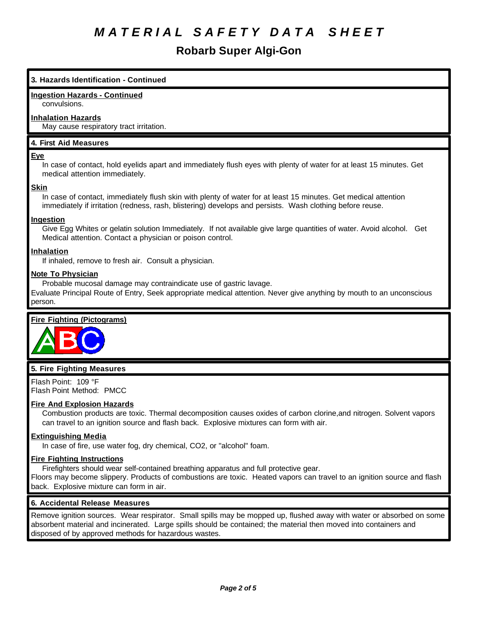### **Robarb Super Algi-Gon**

#### **3. Hazards Identification - Continued**

#### **Ingestion Hazards - Continued**

convulsions.

#### **Inhalation Hazards**

May cause respiratory tract irritation.

#### **4. First Aid Measures**

#### **Eye**

In case of contact, hold eyelids apart and immediately flush eyes with plenty of water for at least 15 minutes. Get medical attention immediately.

#### **Skin**

In case of contact, immediately flush skin with plenty of water for at least 15 minutes. Get medical attention immediately if irritation (redness, rash, blistering) develops and persists. Wash clothing before reuse.

#### **Ingestion**

Give Egg Whites or gelatin solution Immediately. If not available give large quantities of water. Avoid alcohol. Get Medical attention. Contact a physician or poison control.

#### **Inhalation**

If inhaled, remove to fresh air. Consult a physician.

#### **Note To Physician**

Probable mucosal damage may contraindicate use of gastric lavage.

Evaluate Principal Route of Entry, Seek appropriate medical attention. Never give anything by mouth to an unconscious person.

#### **Fire Fighting (Pictograms)**



#### **5. Fire Fighting Measures**

Flash Point: 109 °F Flash Point Method: PMCC

#### **Fire And Explosion Hazards**

Combustion products are toxic. Thermal decomposition causes oxides of carbon clorine,and nitrogen. Solvent vapors can travel to an ignition source and flash back. Explosive mixtures can form with air.

#### **Extinguishing Media**

In case of fire, use water fog, dry chemical, CO2, or "alcohol" foam.

#### **Fire Fighting Instructions**

Firefighters should wear self-contained breathing apparatus and full protective gear.

Floors may become slippery. Products of combustions are toxic. Heated vapors can travel to an ignition source and flash back. Explosive mixture can form in air.

#### **6. Accidental Release Measures**

Remove ignition sources. Wear respirator. Small spills may be mopped up, flushed away with water or absorbed on some absorbent material and incinerated. Large spills should be contained; the material then moved into containers and disposed of by approved methods for hazardous wastes.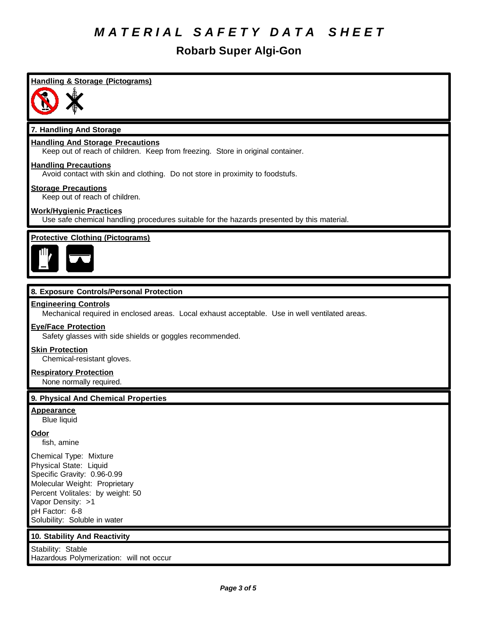### **Robarb Super Algi-Gon**

### **Handling & Storage (Pictograms)**



#### **7. Handling And Storage**

#### **Handling And Storage Precautions**

Keep out of reach of children. Keep from freezing. Store in original container.

#### **Handling Precautions**

Avoid contact with skin and clothing. Do not store in proximity to foodstufs.

#### **Storage Precautions**

Keep out of reach of children.

#### **Work/Hygienic Practices**

Use safe chemical handling procedures suitable for the hazards presented by this material.

#### **Protective Clothing (Pictograms)**



#### **8. Exposure Controls/Personal Protection**

#### **Engineering Controls**

Mechanical required in enclosed areas. Local exhaust acceptable. Use in well ventilated areas.

#### **Eye/Face Protection**

Safety glasses with side shields or goggles recommended.

#### **Skin Protection**

Chemical-resistant gloves.

#### **Respiratory Protection**

None normally required.

#### **9. Physical And Chemical Properties**

**Appearance**

Blue liquid

#### **Odor**

fish, amine

Chemical Type: Mixture Physical State: Liquid Specific Gravity: 0.96-0.99 Molecular Weight: Proprietary Percent Volitales: by weight: 50 Vapor Density: >1 pH Factor: 6-8 Solubility: Soluble in water

#### **10. Stability And Reactivity**

Stability: Stable Hazardous Polymerization: will not occur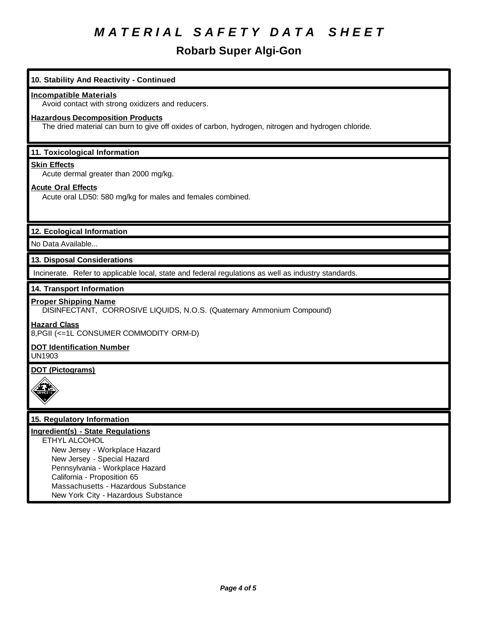## **Robarb Super Algi-Gon**

| 10. Stability And Reactivity - Continued                                                              |  |  |  |  |
|-------------------------------------------------------------------------------------------------------|--|--|--|--|
| <b>Incompatible Materials</b>                                                                         |  |  |  |  |
| Avoid contact with strong oxidizers and reducers.                                                     |  |  |  |  |
| <b>Hazardous Decomposition Products</b>                                                               |  |  |  |  |
| The dried material can burn to give off oxides of carbon, hydrogen, nitrogen and hydrogen chloride.   |  |  |  |  |
|                                                                                                       |  |  |  |  |
| 11. Toxicological Information                                                                         |  |  |  |  |
| <b>Skin Effects</b>                                                                                   |  |  |  |  |
| Acute dermal greater than 2000 mg/kg.                                                                 |  |  |  |  |
| <b>Acute Oral Effects</b>                                                                             |  |  |  |  |
| Acute oral LD50: 580 mg/kg for males and females combined.                                            |  |  |  |  |
|                                                                                                       |  |  |  |  |
| 12. Ecological Information                                                                            |  |  |  |  |
| No Data Available                                                                                     |  |  |  |  |
| 13. Disposal Considerations                                                                           |  |  |  |  |
| Incinerate. Refer to applicable local, state and federal regulations as well as industry standards.   |  |  |  |  |
| 14. Transport Information                                                                             |  |  |  |  |
| <b>Proper Shipping Name</b><br>DISINFECTANT, CORROSIVE LIQUIDS, N.O.S. (Quaternary Ammonium Compound) |  |  |  |  |
| <b>Hazard Class</b><br>8, PGII (<= 1L CONSUMER COMMODITY ORM-D)                                       |  |  |  |  |
| <b>DOT Identification Number</b><br><b>UN1903</b>                                                     |  |  |  |  |
| <b>DOT (Pictograms)</b>                                                                               |  |  |  |  |
|                                                                                                       |  |  |  |  |
|                                                                                                       |  |  |  |  |
| 15. Regulatory Information                                                                            |  |  |  |  |
| Ingredient(s) - State Regulations                                                                     |  |  |  |  |
| ETHYL ALCOHOL                                                                                         |  |  |  |  |
| New Jersey - Workplace Hazard<br>New Jersey - Special Hazard                                          |  |  |  |  |
| Pennsylvania - Workplace Hazard                                                                       |  |  |  |  |
| California - Proposition 65                                                                           |  |  |  |  |
| Massachusetts - Hazardous Substance                                                                   |  |  |  |  |
| New York City - Hazardous Substance                                                                   |  |  |  |  |